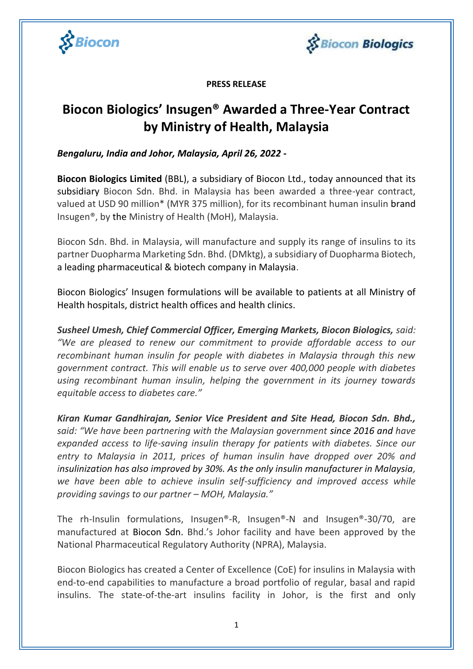



**PRESS RELEASE**

# **Biocon Biologics' Insugen® Awarded a Three-Year Contract by Ministry of Health, Malaysia**

*Bengaluru, India and Johor, Malaysia, April 26, 2022 -*

**Biocon Biologics Limited** (BBL), a subsidiary of Biocon Ltd., today announced that its subsidiary Biocon Sdn. Bhd. in Malaysia has been awarded a three-year contract, valued at USD 90 million\* (MYR 375 million), for its recombinant human insulin brand Insugen®, by the Ministry of Health (MoH), Malaysia.

Biocon Sdn. Bhd. in Malaysia, will manufacture and supply its range of insulins to its partner Duopharma Marketing Sdn. Bhd. (DMktg), a subsidiary of Duopharma Biotech, a leading pharmaceutical & biotech company in Malaysia.

Biocon Biologics' Insugen formulations will be available to patients at all Ministry of Health hospitals, district health offices and health clinics.

*Susheel Umesh, Chief Commercial Officer, Emerging Markets, Biocon Biologics, said: "We are pleased to renew our commitment to provide affordable access to our recombinant human insulin for people with diabetes in Malaysia through this new government contract. This will enable us to serve over 400,000 people with diabetes using recombinant human insulin, helping the government in its journey towards equitable access to diabetes care."*

*Kiran Kumar Gandhirajan, Senior Vice President and Site Head, Biocon Sdn. Bhd., said: "We have been partnering with the Malaysian government since 2016 and have expanded access to life-saving insulin therapy for patients with diabetes. Since our entry to Malaysia in 2011, prices of human insulin have dropped over 20% and insulinization has also improved by 30%. As the only insulin manufacturer in Malaysia, we have been able to achieve insulin self-sufficiency and improved access while providing savings to our partner – MOH, Malaysia."*

The rh-Insulin formulations, Insugen®-R, Insugen®-N and Insugen®-30/70, are manufactured at Biocon Sdn. Bhd.'s Johor facility and have been approved by the National Pharmaceutical Regulatory Authority (NPRA), Malaysia.

Biocon Biologics has created a Center of Excellence (CoE) for insulins in Malaysia with end-to-end capabilities to manufacture a broad portfolio of regular, basal and rapid insulins. The state-of-the-art insulins facility in Johor, is the first and only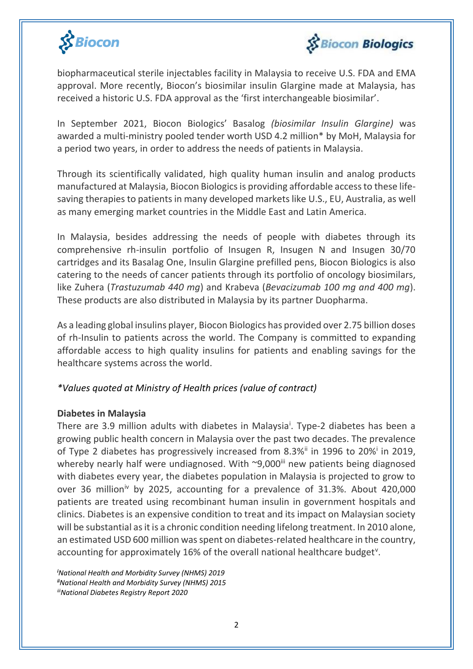



biopharmaceutical sterile injectables facility in Malaysia to receive U.S. FDA and EMA approval. More recently, Biocon's biosimilar insulin Glargine made at Malaysia, has received a historic U.S. FDA approval as the 'first interchangeable biosimilar'.

In September 2021, Biocon Biologics' Basalog *(biosimilar Insulin Glargine)* was awarded a multi-ministry pooled tender worth USD 4.2 million\* by MoH, Malaysia for a period two years, in order to address the needs of patients in Malaysia.

Through its scientifically validated, high quality human insulin and analog products manufactured at Malaysia, Biocon Biologics is providing affordable access to these lifesaving therapies to patients in many developed markets like U.S., EU, Australia, as well as many emerging market countries in the Middle East and Latin America.

In Malaysia, besides addressing the needs of people with diabetes through its comprehensive rh-insulin portfolio of Insugen R, Insugen N and Insugen 30/70 cartridges and its Basalag One, Insulin Glargine prefilled pens, Biocon Biologics is also catering to the needs of cancer patients through its portfolio of oncology biosimilars, like Zuhera (*Trastuzumab 440 mg*) and Krabeva (*Bevacizumab 100 mg and 400 mg*). These products are also distributed in Malaysia by its partner Duopharma.

As a leading global insulins player, Biocon Biologics has provided over 2.75 billion doses of rh-Insulin to patients across the world. The Company is committed to expanding affordable access to high quality insulins for patients and enabling savings for the healthcare systems across the world.

## *\*Values quoted at Ministry of Health prices (value of contract)*

## **Diabetes in Malaysia**

There are 3.9 million adults with diabetes in Malaysia<sup>i</sup>. Type-2 diabetes has been a growing public health concern in Malaysia over the past two decades. The prevalence of Type 2 diabetes has progressively increased from 8.3%<sup>ii</sup> in 1996 to 20%<sup>i</sup> in 2019, whereby nearly half were undiagnosed. With  $\sim$ 9,000 $\mathrm{^{iii}}$  new patients being diagnosed with diabetes every year, the diabetes population in Malaysia is projected to grow to over 36 million<sup>iv</sup> by 2025, accounting for a prevalence of 31.3%. About 420,000 patients are treated using recombinant human insulin in government hospitals and clinics. Diabetes is an expensive condition to treat and its impact on Malaysian society will be substantial as it is a chronic condition needing lifelong treatment. In 2010 alone, an estimated USD 600 million was spent on diabetes-related healthcare in the country, accounting for approximately 16% of the overall national healthcare budget<sup>v</sup>.

*<sup>i</sup>National Health and Morbidity Survey (NHMS) 2019 iiNational Health and Morbidity Survey (NHMS) 2015 iiiNational Diabetes Registry Report 2020*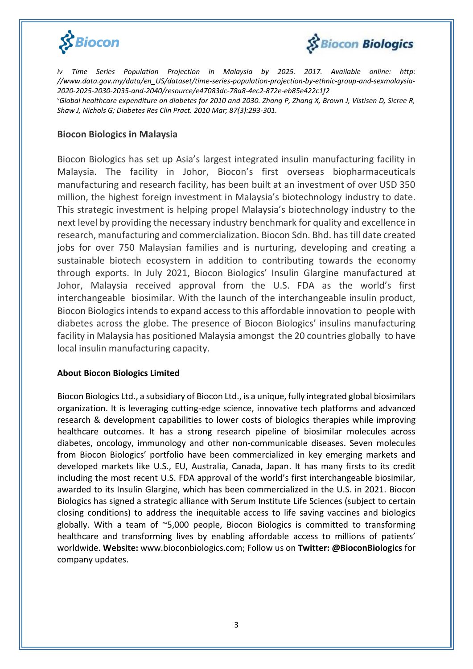



*iv Time Series Population Projection in Malaysia by 2025. 2017. Available online: http: //www.data.gov.my/data/en\_US/dataset/time-series-population-projection-by-ethnic-group-and-sexmalaysia-2020-2025-2030-2035-and-2040/resource/e47083dc-78a8-4ec2-872e-eb85e422c1f2* <sup>v</sup>*Global healthcare expenditure on diabetes for 2010 and 2030. Zhang P, Zhang X, Brown J, Vistisen D, Sicree R, Shaw J, Nichols G; Diabetes Res Clin Pract. 2010 Mar; 87(3):293-301.*

#### **Biocon Biologics in Malaysia**

Biocon Biologics has set up Asia's largest integrated insulin manufacturing facility in Malaysia. The facility in Johor, Biocon's first overseas biopharmaceuticals manufacturing and research facility, has been built at an investment of over USD 350 million, the highest foreign investment in Malaysia's biotechnology industry to date. This strategic investment is helping propel Malaysia's biotechnology industry to the next level by providing the necessary industry benchmark for quality and excellence in research, manufacturing and commercialization. Biocon Sdn. Bhd. has till date created jobs for over 750 Malaysian families and is nurturing, developing and creating a sustainable biotech ecosystem in addition to contributing towards the economy through exports. In July 2021, Biocon Biologics' Insulin Glargine manufactured at Johor, Malaysia received approval from the U.S. FDA as the world's first interchangeable biosimilar. With the launch of the interchangeable insulin product, Biocon Biologics intends to expand access to this affordable innovation to people with diabetes across the globe. The presence of Biocon Biologics' insulins manufacturing facility in Malaysia has positioned Malaysia amongst the 20 countries globally to have local insulin manufacturing capacity.

#### **About Biocon Biologics Limited**

Biocon Biologics Ltd., a subsidiary of Biocon Ltd., is a unique, fully integrated global biosimilars organization. It is leveraging cutting-edge science, innovative tech platforms and advanced research & development capabilities to lower costs of biologics therapies while improving healthcare outcomes. It has a strong research pipeline of biosimilar molecules across diabetes, oncology, immunology and other non-communicable diseases. Seven molecules from Biocon Biologics' portfolio have been commercialized in key emerging markets and developed markets like U.S., EU, Australia, Canada, Japan. It has many firsts to its credit including the most recent U.S. FDA approval of the world's first interchangeable biosimilar, awarded to its Insulin Glargine, which has been commercialized in the U.S. in 2021. Biocon Biologics has signed a strategic alliance with Serum Institute Life Sciences (subject to certain closing conditions) to address the inequitable access to life saving vaccines and biologics globally. With a team of ~5,000 people, Biocon Biologics is committed to transforming healthcare and transforming lives by enabling affordable access to millions of patients' worldwide. **Website:** www.bioconbiologics.com; Follow us on **Twitter: @BioconBiologics** for company updates.